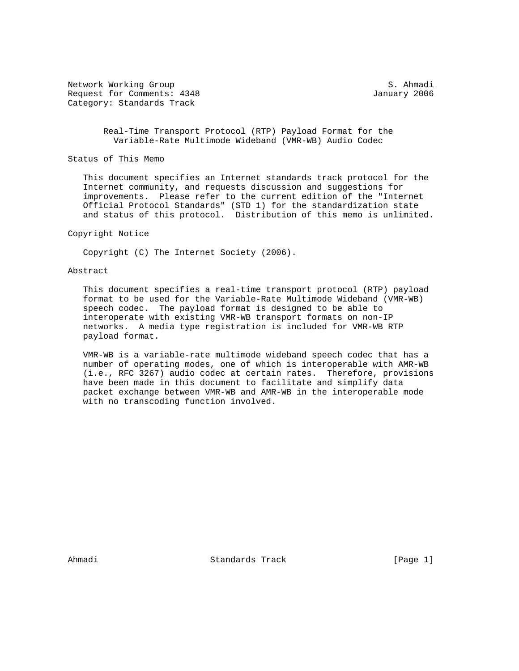Network Working Group S. Ahmadi Request for Comments: 4348 January 2006 Category: Standards Track

 Real-Time Transport Protocol (RTP) Payload Format for the Variable-Rate Multimode Wideband (VMR-WB) Audio Codec

Status of This Memo

 This document specifies an Internet standards track protocol for the Internet community, and requests discussion and suggestions for improvements. Please refer to the current edition of the "Internet Official Protocol Standards" (STD 1) for the standardization state and status of this protocol. Distribution of this memo is unlimited.

#### Copyright Notice

Copyright (C) The Internet Society (2006).

#### Abstract

 This document specifies a real-time transport protocol (RTP) payload format to be used for the Variable-Rate Multimode Wideband (VMR-WB) speech codec. The payload format is designed to be able to interoperate with existing VMR-WB transport formats on non-IP networks. A media type registration is included for VMR-WB RTP payload format.

 VMR-WB is a variable-rate multimode wideband speech codec that has a number of operating modes, one of which is interoperable with AMR-WB (i.e., RFC 3267) audio codec at certain rates. Therefore, provisions have been made in this document to facilitate and simplify data packet exchange between VMR-WB and AMR-WB in the interoperable mode with no transcoding function involved.

Ahmadi Standards Track [Page 1]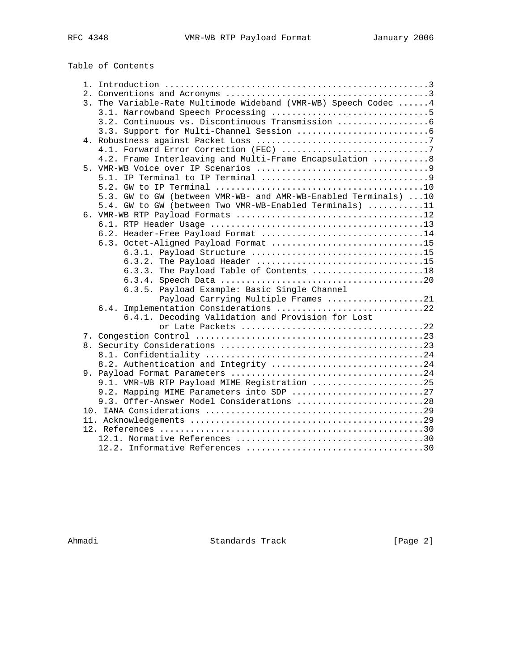# Table of Contents

|  | 3. The Variable-Rate Multimode Wideband (VMR-WB) Speech Codec  4 |
|--|------------------------------------------------------------------|
|  |                                                                  |
|  | 3.2. Continuous vs. Discontinuous Transmission                   |
|  |                                                                  |
|  |                                                                  |
|  |                                                                  |
|  | 4.2. Frame Interleaving and Multi-Frame Encapsulation  8         |
|  |                                                                  |
|  |                                                                  |
|  |                                                                  |
|  | 5.3. GW to GW (between VMR-WB- and AMR-WB-Enabled Terminals) 10  |
|  | 5.4. GW to GW (between Two VMR-WB-Enabled Terminals) 11          |
|  |                                                                  |
|  |                                                                  |
|  | 6.2. Header-Free Payload Format 14                               |
|  | 6.3. Octet-Aligned Payload Format 15                             |
|  |                                                                  |
|  |                                                                  |
|  | 6.3.3. The Payload Table of Contents 18                          |
|  |                                                                  |
|  | 6.3.5. Payload Example: Basic Single Channel                     |
|  | Payload Carrying Multiple Frames 21                              |
|  | 6.4. Implementation Considerations 22                            |
|  | 6.4.1. Decoding Validation and Provision for Lost                |
|  |                                                                  |
|  |                                                                  |
|  |                                                                  |
|  |                                                                  |
|  | 8.2. Authentication and Integrity 24                             |
|  |                                                                  |
|  | 9.1. VMR-WB RTP Payload MIME Registration 25                     |
|  | 9.2. Mapping MIME Parameters into SDP 27                         |
|  | 9.3. Offer-Answer Model Considerations 28                        |
|  |                                                                  |
|  |                                                                  |
|  |                                                                  |
|  |                                                                  |
|  |                                                                  |

Ahmadi Standards Track [Page 2]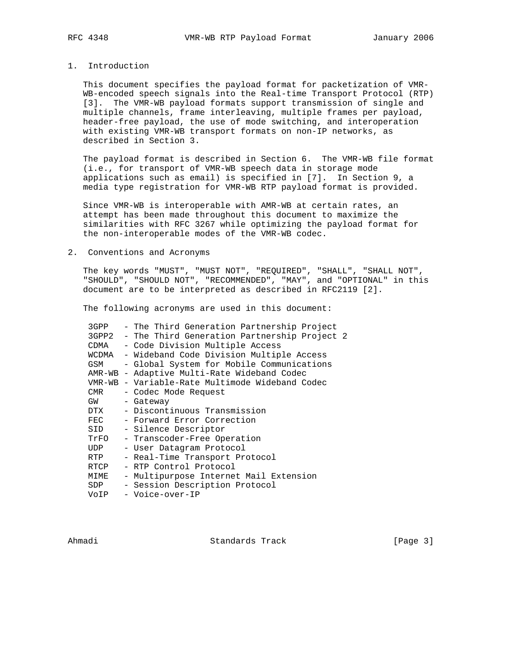# 1. Introduction

 This document specifies the payload format for packetization of VMR- WB-encoded speech signals into the Real-time Transport Protocol (RTP) [3]. The VMR-WB payload formats support transmission of single and multiple channels, frame interleaving, multiple frames per payload, header-free payload, the use of mode switching, and interoperation with existing VMR-WB transport formats on non-IP networks, as described in Section 3.

 The payload format is described in Section 6. The VMR-WB file format (i.e., for transport of VMR-WB speech data in storage mode applications such as email) is specified in [7]. In Section 9, a media type registration for VMR-WB RTP payload format is provided.

 Since VMR-WB is interoperable with AMR-WB at certain rates, an attempt has been made throughout this document to maximize the similarities with RFC 3267 while optimizing the payload format for the non-interoperable modes of the VMR-WB codec.

#### 2. Conventions and Acronyms

 The key words "MUST", "MUST NOT", "REQUIRED", "SHALL", "SHALL NOT", "SHOULD", "SHOULD NOT", "RECOMMENDED", "MAY", and "OPTIONAL" in this document are to be interpreted as described in RFC2119 [2].

The following acronyms are used in this document:

| 3GPP          | - The Third Generation Partnership Project         |
|---------------|----------------------------------------------------|
|               | 3GPP2 - The Third Generation Partnership Project 2 |
| CDMA          | - Code Division Multiple Access                    |
| WCDMA         | - Wideband Code Division Multiple Access           |
| GSM           | - Global System for Mobile Communications          |
|               | AMR-WB - Adaptive Multi-Rate Wideband Codec        |
|               | VMR-WB - Variable-Rate Multimode Wideband Codec    |
| CMR           | - Codec Mode Request                               |
| GW            | - Gateway                                          |
| DTX           | - Discontinuous Transmission                       |
| $_{\rm{FEC}}$ | - Forward Error Correction                         |
| SID           | - Silence Descriptor                               |
| TrFO          | - Transcoder-Free Operation                        |
| UDP           | - User Datagram Protocol                           |
| RTP           | - Real-Time Transport Protocol                     |
| RTCP          | - RTP Control Protocol                             |
| MIME          | - Multipurpose Internet Mail Extension             |
| SDP           | - Session Description Protocol                     |
| VoIP          | - Voice-over-IP                                    |
|               |                                                    |

Ahmadi Standards Track [Page 3]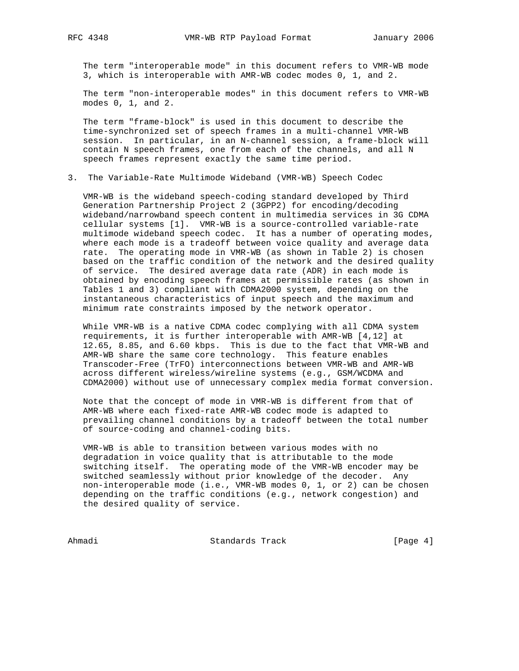The term "interoperable mode" in this document refers to VMR-WB mode 3, which is interoperable with AMR-WB codec modes 0, 1, and 2.

 The term "non-interoperable modes" in this document refers to VMR-WB modes 0, 1, and 2.

 The term "frame-block" is used in this document to describe the time-synchronized set of speech frames in a multi-channel VMR-WB session. In particular, in an N-channel session, a frame-block will contain N speech frames, one from each of the channels, and all N speech frames represent exactly the same time period.

# 3. The Variable-Rate Multimode Wideband (VMR-WB) Speech Codec

 VMR-WB is the wideband speech-coding standard developed by Third Generation Partnership Project 2 (3GPP2) for encoding/decoding wideband/narrowband speech content in multimedia services in 3G CDMA cellular systems [1]. VMR-WB is a source-controlled variable-rate multimode wideband speech codec. It has a number of operating modes, where each mode is a tradeoff between voice quality and average data rate. The operating mode in VMR-WB (as shown in Table 2) is chosen based on the traffic condition of the network and the desired quality of service. The desired average data rate (ADR) in each mode is obtained by encoding speech frames at permissible rates (as shown in Tables 1 and 3) compliant with CDMA2000 system, depending on the instantaneous characteristics of input speech and the maximum and minimum rate constraints imposed by the network operator.

 While VMR-WB is a native CDMA codec complying with all CDMA system requirements, it is further interoperable with AMR-WB [4,12] at 12.65, 8.85, and 6.60 kbps. This is due to the fact that VMR-WB and AMR-WB share the same core technology. This feature enables Transcoder-Free (TrFO) interconnections between VMR-WB and AMR-WB across different wireless/wireline systems (e.g., GSM/WCDMA and CDMA2000) without use of unnecessary complex media format conversion.

 Note that the concept of mode in VMR-WB is different from that of AMR-WB where each fixed-rate AMR-WB codec mode is adapted to prevailing channel conditions by a tradeoff between the total number of source-coding and channel-coding bits.

 VMR-WB is able to transition between various modes with no degradation in voice quality that is attributable to the mode switching itself. The operating mode of the VMR-WB encoder may be switched seamlessly without prior knowledge of the decoder. Any non-interoperable mode (i.e., VMR-WB modes 0, 1, or 2) can be chosen depending on the traffic conditions (e.g., network congestion) and the desired quality of service.

Ahmadi Standards Track [Page 4]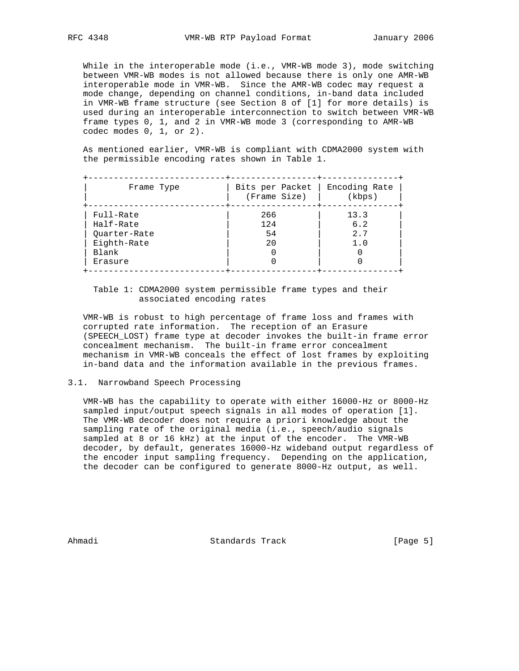While in the interoperable mode (i.e., VMR-WB mode 3), mode switching between VMR-WB modes is not allowed because there is only one AMR-WB interoperable mode in VMR-WB. Since the AMR-WB codec may request a mode change, depending on channel conditions, in-band data included in VMR-WB frame structure (see Section 8 of [1] for more details) is used during an interoperable interconnection to switch between VMR-WB frame types 0, 1, and 2 in VMR-WB mode 3 (corresponding to AMR-WB codec modes 0, 1, or 2).

 As mentioned earlier, VMR-WB is compliant with CDMA2000 system with the permissible encoding rates shown in Table 1.

| Frame Type   | Bits per Packet<br>(Frame Size) | Encoding Rate<br>(kbps) |
|--------------|---------------------------------|-------------------------|
| Full-Rate    | 266                             | 13.3                    |
| Half-Rate    | 124                             | 6.2                     |
| Quarter-Rate | 54                              | 2.7                     |
| Eighth-Rate  | 20                              | 1.0                     |
| Blank        |                                 |                         |
| Erasure      |                                 |                         |

# Table 1: CDMA2000 system permissible frame types and their associated encoding rates

 VMR-WB is robust to high percentage of frame loss and frames with corrupted rate information. The reception of an Erasure (SPEECH\_LOST) frame type at decoder invokes the built-in frame error concealment mechanism. The built-in frame error concealment mechanism in VMR-WB conceals the effect of lost frames by exploiting in-band data and the information available in the previous frames.

#### 3.1. Narrowband Speech Processing

 VMR-WB has the capability to operate with either 16000-Hz or 8000-Hz sampled input/output speech signals in all modes of operation [1]. The VMR-WB decoder does not require a priori knowledge about the sampling rate of the original media (i.e., speech/audio signals sampled at 8 or 16 kHz) at the input of the encoder. The VMR-WB decoder, by default, generates 16000-Hz wideband output regardless of the encoder input sampling frequency. Depending on the application, the decoder can be configured to generate 8000-Hz output, as well.

Ahmadi Standards Track [Page 5]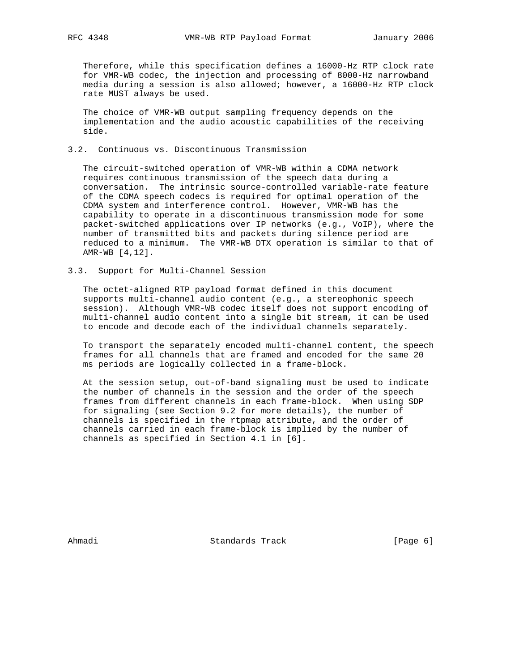Therefore, while this specification defines a 16000-Hz RTP clock rate for VMR-WB codec, the injection and processing of 8000-Hz narrowband media during a session is also allowed; however, a 16000-Hz RTP clock rate MUST always be used.

 The choice of VMR-WB output sampling frequency depends on the implementation and the audio acoustic capabilities of the receiving side.

# 3.2. Continuous vs. Discontinuous Transmission

 The circuit-switched operation of VMR-WB within a CDMA network requires continuous transmission of the speech data during a conversation. The intrinsic source-controlled variable-rate feature of the CDMA speech codecs is required for optimal operation of the CDMA system and interference control. However, VMR-WB has the capability to operate in a discontinuous transmission mode for some packet-switched applications over IP networks (e.g., VoIP), where the number of transmitted bits and packets during silence period are reduced to a minimum. The VMR-WB DTX operation is similar to that of AMR-WB [4,12].

#### 3.3. Support for Multi-Channel Session

 The octet-aligned RTP payload format defined in this document supports multi-channel audio content (e.g., a stereophonic speech session). Although VMR-WB codec itself does not support encoding of multi-channel audio content into a single bit stream, it can be used to encode and decode each of the individual channels separately.

 To transport the separately encoded multi-channel content, the speech frames for all channels that are framed and encoded for the same 20 ms periods are logically collected in a frame-block.

 At the session setup, out-of-band signaling must be used to indicate the number of channels in the session and the order of the speech frames from different channels in each frame-block. When using SDP for signaling (see Section 9.2 for more details), the number of channels is specified in the rtpmap attribute, and the order of channels carried in each frame-block is implied by the number of channels as specified in Section 4.1 in [6].

Ahmadi Standards Track [Page 6]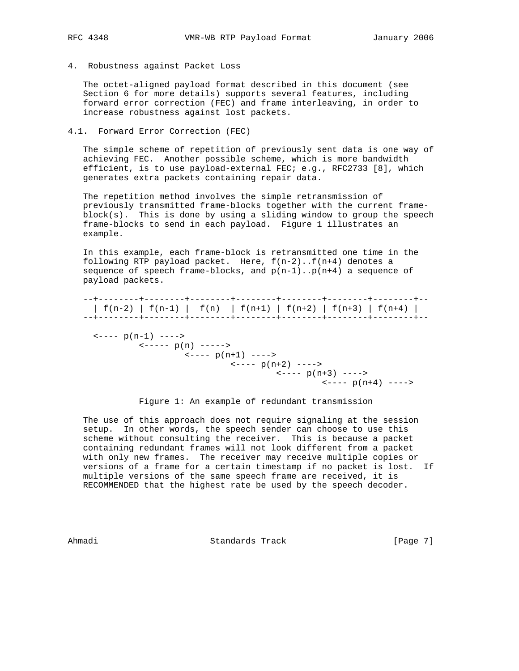4. Robustness against Packet Loss

 The octet-aligned payload format described in this document (see Section 6 for more details) supports several features, including forward error correction (FEC) and frame interleaving, in order to increase robustness against lost packets.

4.1. Forward Error Correction (FEC)

 The simple scheme of repetition of previously sent data is one way of achieving FEC. Another possible scheme, which is more bandwidth efficient, is to use payload-external FEC; e.g., RFC2733 [8], which generates extra packets containing repair data.

 The repetition method involves the simple retransmission of previously transmitted frame-blocks together with the current frame block(s). This is done by using a sliding window to group the speech frame-blocks to send in each payload. Figure 1 illustrates an example.

 In this example, each frame-block is retransmitted one time in the following RTP payload packet. Here, f(n-2)..f(n+4) denotes a sequence of speech frame-blocks, and  $p(n-1) \nldots p(n+4)$  a sequence of payload packets.

 --+--------+--------+--------+--------+--------+--------+--------+-- | f(n-2) | f(n-1) | f(n) | f(n+1) | f(n+2) | f(n+3) | f(n+4) | --+--------+--------+--------+--------+--------+--------+--------+--  $\leftarrow---p(n-1)$  ---->  $\left\langle - - - - p(n) \right\rangle$  ----->  $\leftarrow---$  p(n+1) ---->  $\leftarrow---$  p(n+2) ---->  $\leftarrow---p(n+3)$  ---->  $\left\langle - - - - p(n+4) \right\rangle$  ---->

Figure 1: An example of redundant transmission

 The use of this approach does not require signaling at the session setup. In other words, the speech sender can choose to use this scheme without consulting the receiver. This is because a packet containing redundant frames will not look different from a packet with only new frames. The receiver may receive multiple copies or versions of a frame for a certain timestamp if no packet is lost. If multiple versions of the same speech frame are received, it is RECOMMENDED that the highest rate be used by the speech decoder.

Ahmadi Standards Track [Page 7]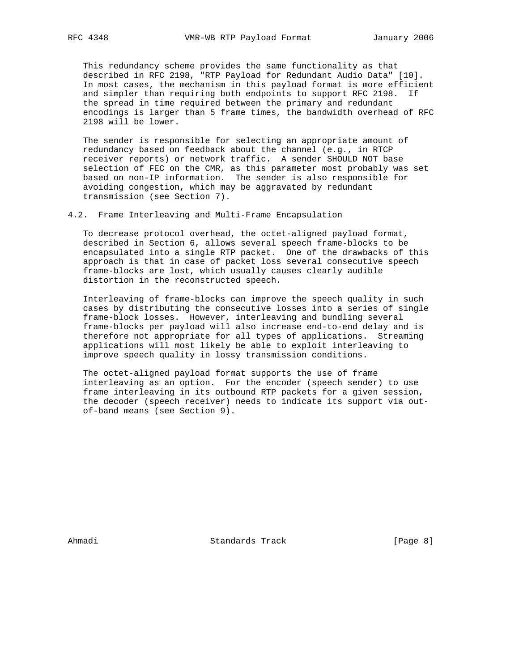This redundancy scheme provides the same functionality as that described in RFC 2198, "RTP Payload for Redundant Audio Data" [10]. In most cases, the mechanism in this payload format is more efficient and simpler than requiring both endpoints to support RFC 2198. If the spread in time required between the primary and redundant encodings is larger than 5 frame times, the bandwidth overhead of RFC 2198 will be lower.

 The sender is responsible for selecting an appropriate amount of redundancy based on feedback about the channel (e.g., in RTCP receiver reports) or network traffic. A sender SHOULD NOT base selection of FEC on the CMR, as this parameter most probably was set based on non-IP information. The sender is also responsible for avoiding congestion, which may be aggravated by redundant transmission (see Section 7).

4.2. Frame Interleaving and Multi-Frame Encapsulation

 To decrease protocol overhead, the octet-aligned payload format, described in Section 6, allows several speech frame-blocks to be encapsulated into a single RTP packet. One of the drawbacks of this approach is that in case of packet loss several consecutive speech frame-blocks are lost, which usually causes clearly audible distortion in the reconstructed speech.

 Interleaving of frame-blocks can improve the speech quality in such cases by distributing the consecutive losses into a series of single frame-block losses. However, interleaving and bundling several frame-blocks per payload will also increase end-to-end delay and is therefore not appropriate for all types of applications. Streaming applications will most likely be able to exploit interleaving to improve speech quality in lossy transmission conditions.

 The octet-aligned payload format supports the use of frame interleaving as an option. For the encoder (speech sender) to use frame interleaving in its outbound RTP packets for a given session, the decoder (speech receiver) needs to indicate its support via out of-band means (see Section 9).

Ahmadi Standards Track [Page 8]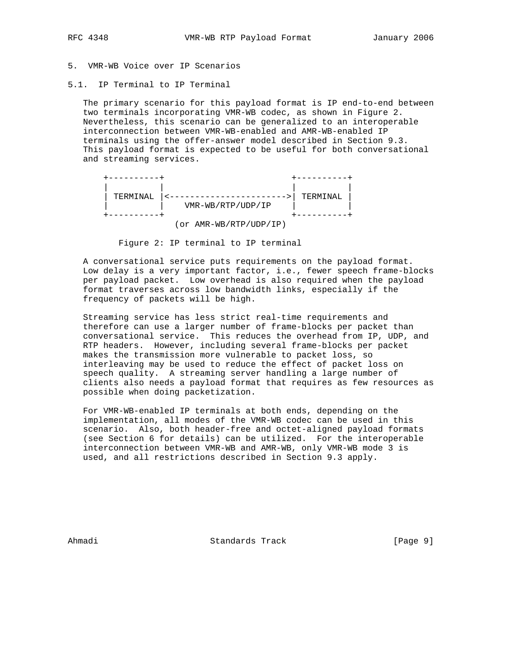5. VMR-WB Voice over IP Scenarios

5.1. IP Terminal to IP Terminal

 The primary scenario for this payload format is IP end-to-end between two terminals incorporating VMR-WB codec, as shown in Figure 2. Nevertheless, this scenario can be generalized to an interoperable interconnection between VMR-WB-enabled and AMR-WB-enabled IP terminals using the offer-answer model described in Section 9.3. This payload format is expected to be useful for both conversational and streaming services.



Figure 2: IP terminal to IP terminal

 A conversational service puts requirements on the payload format. Low delay is a very important factor, i.e., fewer speech frame-blocks per payload packet. Low overhead is also required when the payload format traverses across low bandwidth links, especially if the frequency of packets will be high.

 Streaming service has less strict real-time requirements and therefore can use a larger number of frame-blocks per packet than conversational service. This reduces the overhead from IP, UDP, and RTP headers. However, including several frame-blocks per packet makes the transmission more vulnerable to packet loss, so interleaving may be used to reduce the effect of packet loss on speech quality. A streaming server handling a large number of clients also needs a payload format that requires as few resources as possible when doing packetization.

 For VMR-WB-enabled IP terminals at both ends, depending on the implementation, all modes of the VMR-WB codec can be used in this scenario. Also, both header-free and octet-aligned payload formats (see Section 6 for details) can be utilized. For the interoperable interconnection between VMR-WB and AMR-WB, only VMR-WB mode 3 is used, and all restrictions described in Section 9.3 apply.

Ahmadi Standards Track [Page 9]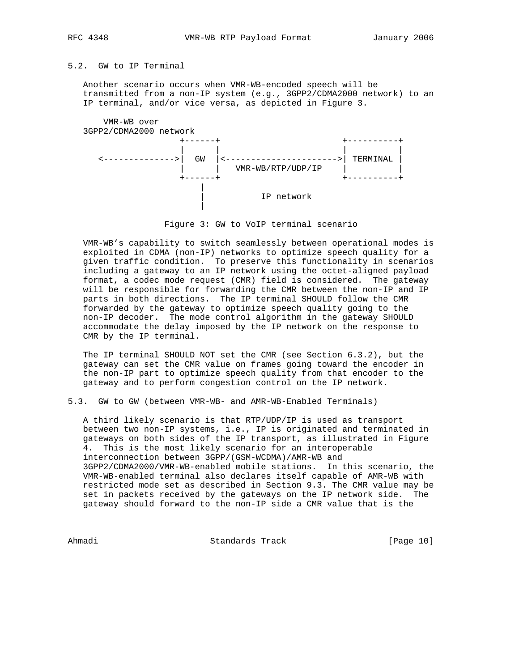# 5.2. GW to IP Terminal

 Another scenario occurs when VMR-WB-encoded speech will be transmitted from a non-IP system (e.g., 3GPP2/CDMA2000 network) to an IP terminal, and/or vice versa, as depicted in Figure 3.



Figure 3: GW to VoIP terminal scenario

 VMR-WB's capability to switch seamlessly between operational modes is exploited in CDMA (non-IP) networks to optimize speech quality for a given traffic condition. To preserve this functionality in scenarios including a gateway to an IP network using the octet-aligned payload format, a codec mode request (CMR) field is considered. The gateway will be responsible for forwarding the CMR between the non-IP and IP parts in both directions. The IP terminal SHOULD follow the CMR forwarded by the gateway to optimize speech quality going to the non-IP decoder. The mode control algorithm in the gateway SHOULD accommodate the delay imposed by the IP network on the response to CMR by the IP terminal.

 The IP terminal SHOULD NOT set the CMR (see Section 6.3.2), but the gateway can set the CMR value on frames going toward the encoder in the non-IP part to optimize speech quality from that encoder to the gateway and to perform congestion control on the IP network.

5.3. GW to GW (between VMR-WB- and AMR-WB-Enabled Terminals)

 A third likely scenario is that RTP/UDP/IP is used as transport between two non-IP systems, i.e., IP is originated and terminated in gateways on both sides of the IP transport, as illustrated in Figure 4. This is the most likely scenario for an interoperable interconnection between 3GPP/(GSM-WCDMA)/AMR-WB and 3GPP2/CDMA2000/VMR-WB-enabled mobile stations. In this scenario, the VMR-WB-enabled terminal also declares itself capable of AMR-WB with restricted mode set as described in Section 9.3. The CMR value may be set in packets received by the gateways on the IP network side. The gateway should forward to the non-IP side a CMR value that is the

Ahmadi Standards Track [Page 10]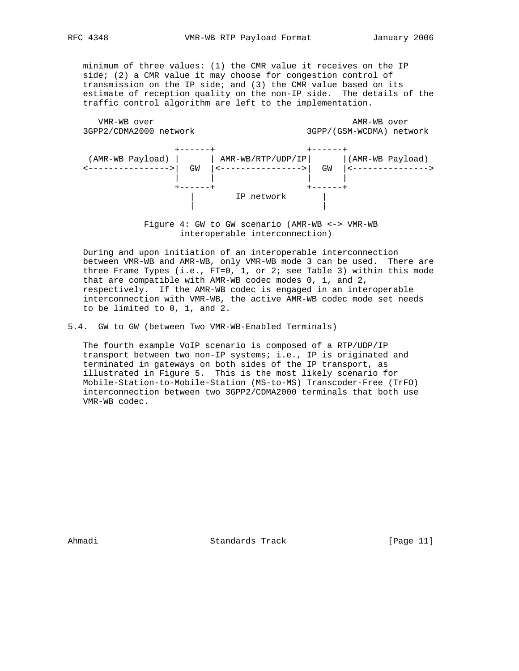minimum of three values: (1) the CMR value it receives on the IP side; (2) a CMR value it may choose for congestion control of transmission on the IP side; and (3) the CMR value based on its estimate of reception quality on the non-IP side. The details of the traffic control algorithm are left to the implementation.

| VMR-WB over            | AMR-WB over              |
|------------------------|--------------------------|
| 3GPP2/CDMA2000 network | 3GPP/(GSM-WCDMA) network |



 Figure 4: GW to GW scenario (AMR-WB <-> VMR-WB interoperable interconnection)

 During and upon initiation of an interoperable interconnection between VMR-WB and AMR-WB, only VMR-WB mode 3 can be used. There are three Frame Types (i.e., FT=0, 1, or 2; see Table 3) within this mode that are compatible with AMR-WB codec modes 0, 1, and 2, respectively. If the AMR-WB codec is engaged in an interoperable interconnection with VMR-WB, the active AMR-WB codec mode set needs to be limited to 0, 1, and 2.

5.4. GW to GW (between Two VMR-WB-Enabled Terminals)

 The fourth example VoIP scenario is composed of a RTP/UDP/IP transport between two non-IP systems; i.e., IP is originated and terminated in gateways on both sides of the IP transport, as illustrated in Figure 5. This is the most likely scenario for Mobile-Station-to-Mobile-Station (MS-to-MS) Transcoder-Free (TrFO) interconnection between two 3GPP2/CDMA2000 terminals that both use VMR-WB codec.

Ahmadi Standards Track [Page 11]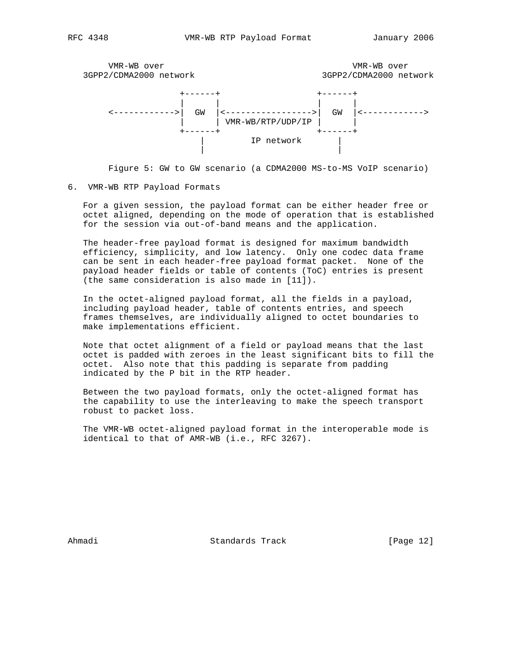



#### 6. VMR-WB RTP Payload Formats

 For a given session, the payload format can be either header free or octet aligned, depending on the mode of operation that is established for the session via out-of-band means and the application.

 The header-free payload format is designed for maximum bandwidth efficiency, simplicity, and low latency. Only one codec data frame can be sent in each header-free payload format packet. None of the payload header fields or table of contents (ToC) entries is present (the same consideration is also made in [11]).

 In the octet-aligned payload format, all the fields in a payload, including payload header, table of contents entries, and speech frames themselves, are individually aligned to octet boundaries to make implementations efficient.

 Note that octet alignment of a field or payload means that the last octet is padded with zeroes in the least significant bits to fill the octet. Also note that this padding is separate from padding indicated by the P bit in the RTP header.

 Between the two payload formats, only the octet-aligned format has the capability to use the interleaving to make the speech transport robust to packet loss.

 The VMR-WB octet-aligned payload format in the interoperable mode is identical to that of AMR-WB (i.e., RFC 3267).

Ahmadi Standards Track [Page 12]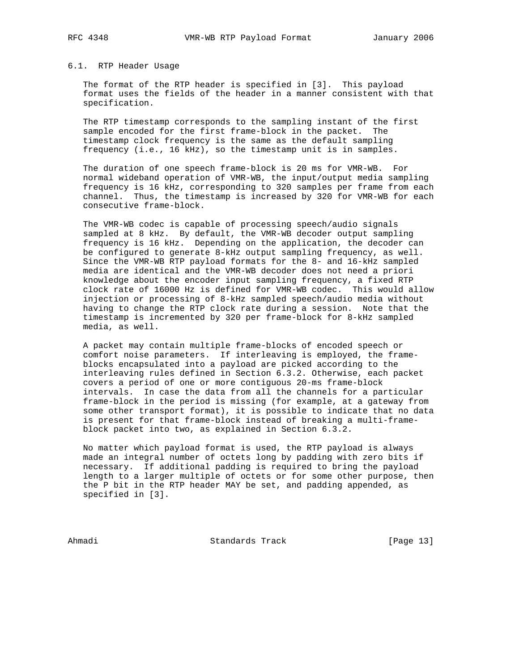# 6.1. RTP Header Usage

 The format of the RTP header is specified in [3]. This payload format uses the fields of the header in a manner consistent with that specification.

 The RTP timestamp corresponds to the sampling instant of the first sample encoded for the first frame-block in the packet. The timestamp clock frequency is the same as the default sampling frequency (i.e., 16 kHz), so the timestamp unit is in samples.

 The duration of one speech frame-block is 20 ms for VMR-WB. For normal wideband operation of VMR-WB, the input/output media sampling frequency is 16 kHz, corresponding to 320 samples per frame from each channel. Thus, the timestamp is increased by 320 for VMR-WB for each consecutive frame-block.

 The VMR-WB codec is capable of processing speech/audio signals sampled at 8 kHz. By default, the VMR-WB decoder output sampling frequency is 16 kHz. Depending on the application, the decoder can be configured to generate 8-kHz output sampling frequency, as well. Since the VMR-WB RTP payload formats for the 8- and 16-kHz sampled media are identical and the VMR-WB decoder does not need a priori knowledge about the encoder input sampling frequency, a fixed RTP clock rate of 16000 Hz is defined for VMR-WB codec. This would allow injection or processing of 8-kHz sampled speech/audio media without having to change the RTP clock rate during a session. Note that the timestamp is incremented by 320 per frame-block for 8-kHz sampled media, as well.

 A packet may contain multiple frame-blocks of encoded speech or comfort noise parameters. If interleaving is employed, the frame blocks encapsulated into a payload are picked according to the interleaving rules defined in Section 6.3.2. Otherwise, each packet covers a period of one or more contiguous 20-ms frame-block intervals. In case the data from all the channels for a particular frame-block in the period is missing (for example, at a gateway from some other transport format), it is possible to indicate that no data is present for that frame-block instead of breaking a multi-frame block packet into two, as explained in Section 6.3.2.

 No matter which payload format is used, the RTP payload is always made an integral number of octets long by padding with zero bits if necessary. If additional padding is required to bring the payload length to a larger multiple of octets or for some other purpose, then the P bit in the RTP header MAY be set, and padding appended, as specified in [3].

Ahmadi Standards Track [Page 13]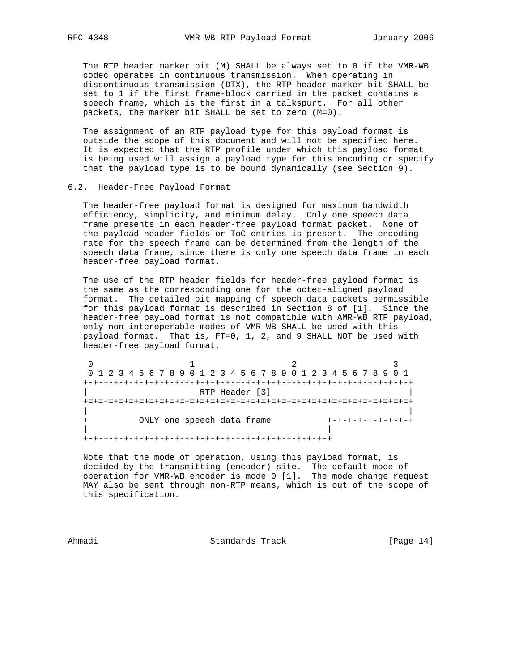The RTP header marker bit (M) SHALL be always set to 0 if the VMR-WB codec operates in continuous transmission. When operating in discontinuous transmission (DTX), the RTP header marker bit SHALL be set to 1 if the first frame-block carried in the packet contains a speech frame, which is the first in a talkspurt. For all other packets, the marker bit SHALL be set to zero (M=0).

 The assignment of an RTP payload type for this payload format is outside the scope of this document and will not be specified here. It is expected that the RTP profile under which this payload format is being used will assign a payload type for this encoding or specify that the payload type is to be bound dynamically (see Section 9).

#### 6.2. Header-Free Payload Format

 The header-free payload format is designed for maximum bandwidth efficiency, simplicity, and minimum delay. Only one speech data frame presents in each header-free payload format packet. None of the payload header fields or ToC entries is present. The encoding rate for the speech frame can be determined from the length of the speech data frame, since there is only one speech data frame in each header-free payload format.

 The use of the RTP header fields for header-free payload format is the same as the corresponding one for the octet-aligned payload format. The detailed bit mapping of speech data packets permissible for this payload format is described in Section 8 of [1]. Since the header-free payload format is not compatible with AMR-WB RTP payload, only non-interoperable modes of VMR-WB SHALL be used with this payload format. That is, FT=0, 1, 2, and 9 SHALL NOT be used with header-free payload format.

| 0 1 2 3 4 5 6 7 8 9 0 1 2 3 4 5 6 7 8 9 0 1 2 3 4 5 6 7 8 9 0 1 |  |
|-----------------------------------------------------------------|--|
|                                                                 |  |
| RTP Header [3]                                                  |  |
|                                                                 |  |
|                                                                 |  |
| ONLY one speech data frame                                      |  |
|                                                                 |  |
|                                                                 |  |

 Note that the mode of operation, using this payload format, is decided by the transmitting (encoder) site. The default mode of operation for VMR-WB encoder is mode 0 [1]. The mode change request MAY also be sent through non-RTP means, which is out of the scope of this specification.

Ahmadi Standards Track [Page 14]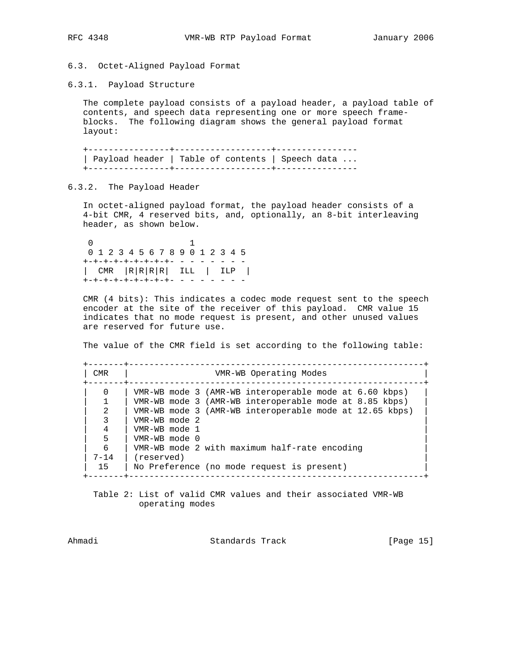### 6.3. Octet-Aligned Payload Format

6.3.1. Payload Structure

 The complete payload consists of a payload header, a payload table of contents, and speech data representing one or more speech frame blocks. The following diagram shows the general payload format layout:

 +----------------+-------------------+---------------- | Payload header | Table of contents | Speech data ... +----------------+-------------------+----------------

### 6.3.2. The Payload Header

 In octet-aligned payload format, the payload header consists of a 4-bit CMR, 4 reserved bits, and, optionally, an 8-bit interleaving header, as shown below.

 0 1 0 1 2 3 4 5 6 7 8 9 0 1 2 3 4 5  $+ - + - + - + - + - + - + - + - - - - -$  | CMR |R|R|R|R| ILL | ILP | +-+-+-+-+-+-+-+-+- - - - - - - -

 CMR (4 bits): This indicates a codec mode request sent to the speech encoder at the site of the receiver of this payload. CMR value 15 indicates that no mode request is present, and other unused values are reserved for future use.

The value of the CMR field is set according to the following table:

 +-------+----------------------------------------------------------+ | CMR | VMR-WB Operating Modes +-------+----------------------------------------------------------+ 0 | VMR-WB mode 3 (AMR-WB interoperable mode at 6.60 kbps) 1 | VMR-WB mode 3 (AMR-WB interoperable mode at 8.85 kbps) | 2 | VMR-WB mode 3 (AMR-WB interoperable mode at 12.65 kbps) | | 3 | VMR-WB mode 2 | | 4 | VMR-WB mode 1 | | 5 | VMR-WB mode 0 | | 6 | VMR-WB mode 2 with maximum half-rate encoding | | 7-14 | (reserved) | 15 | No Preference (no mode request is present) +-------+----------------------------------------------------------+

 Table 2: List of valid CMR values and their associated VMR-WB operating modes

Ahmadi Standards Track [Page 15]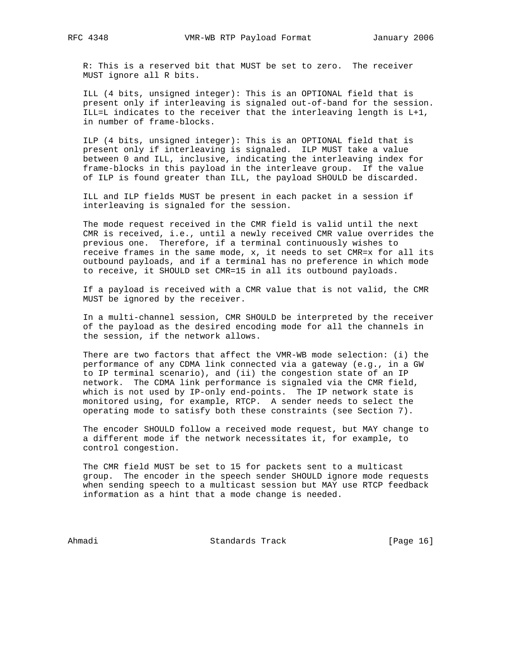R: This is a reserved bit that MUST be set to zero. The receiver MUST ignore all R bits.

 ILL (4 bits, unsigned integer): This is an OPTIONAL field that is present only if interleaving is signaled out-of-band for the session. ILL=L indicates to the receiver that the interleaving length is L+1, in number of frame-blocks.

 ILP (4 bits, unsigned integer): This is an OPTIONAL field that is present only if interleaving is signaled. ILP MUST take a value between 0 and ILL, inclusive, indicating the interleaving index for frame-blocks in this payload in the interleave group. If the value of ILP is found greater than ILL, the payload SHOULD be discarded.

 ILL and ILP fields MUST be present in each packet in a session if interleaving is signaled for the session.

 The mode request received in the CMR field is valid until the next CMR is received, i.e., until a newly received CMR value overrides the previous one. Therefore, if a terminal continuously wishes to receive frames in the same mode,  $x$ , it needs to set CMR= $x$  for all its outbound payloads, and if a terminal has no preference in which mode to receive, it SHOULD set CMR=15 in all its outbound payloads.

 If a payload is received with a CMR value that is not valid, the CMR MUST be ignored by the receiver.

 In a multi-channel session, CMR SHOULD be interpreted by the receiver of the payload as the desired encoding mode for all the channels in the session, if the network allows.

 There are two factors that affect the VMR-WB mode selection: (i) the performance of any CDMA link connected via a gateway (e.g., in a GW to IP terminal scenario), and (ii) the congestion state of an IP network. The CDMA link performance is signaled via the CMR field, which is not used by IP-only end-points. The IP network state is monitored using, for example, RTCP. A sender needs to select the operating mode to satisfy both these constraints (see Section 7).

 The encoder SHOULD follow a received mode request, but MAY change to a different mode if the network necessitates it, for example, to control congestion.

 The CMR field MUST be set to 15 for packets sent to a multicast group. The encoder in the speech sender SHOULD ignore mode requests when sending speech to a multicast session but MAY use RTCP feedback information as a hint that a mode change is needed.

Ahmadi Standards Track [Page 16]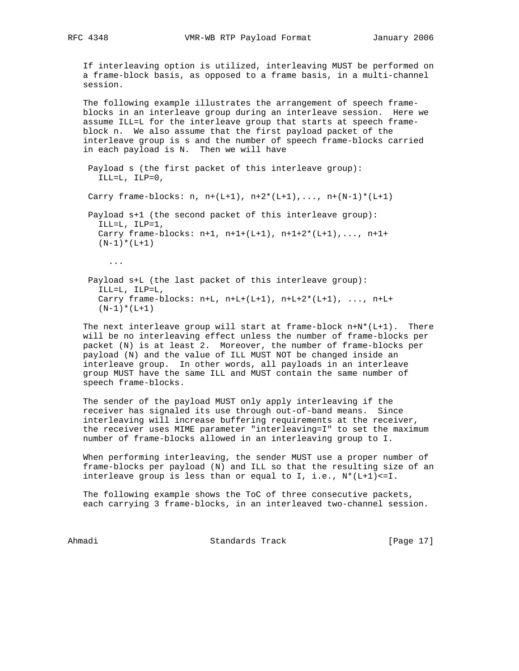If interleaving option is utilized, interleaving MUST be performed on a frame-block basis, as opposed to a frame basis, in a multi-channel session.

 The following example illustrates the arrangement of speech frame blocks in an interleave group during an interleave session. Here we assume ILL=L for the interleave group that starts at speech frame block n. We also assume that the first payload packet of the interleave group is s and the number of speech frame-blocks carried in each payload is N. Then we will have

```
 Payload s (the first packet of this interleave group):
ILL=L, ILP=0,
```
Carry frame-blocks:  $n, n+(L+1), n+2*(L+1), \ldots, n+(N-1)*(L+1)$ 

 Payload s+1 (the second packet of this interleave group): ILL=L, ILP=1, Carry frame-blocks: n+1, n+1+(L+1), n+1+2\*(L+1),..., n+1+  $(N-1)*(L+1)$ 

...

 Payload s+L (the last packet of this interleave group): ILL=L, ILP=L, Carry frame-blocks:  $n+L$ ,  $n+L+(L+1)$ ,  $n+L+2*(L+1)$ , ...,  $n+L+$  $(N-1)*(L+1)$ 

The next interleave group will start at frame-block  $n+N*(L+1)$ . There will be no interleaving effect unless the number of frame-blocks per packet (N) is at least 2. Moreover, the number of frame-blocks per payload (N) and the value of ILL MUST NOT be changed inside an interleave group. In other words, all payloads in an interleave group MUST have the same ILL and MUST contain the same number of speech frame-blocks.

 The sender of the payload MUST only apply interleaving if the receiver has signaled its use through out-of-band means. Since interleaving will increase buffering requirements at the receiver, the receiver uses MIME parameter "interleaving=I" to set the maximum number of frame-blocks allowed in an interleaving group to I.

 When performing interleaving, the sender MUST use a proper number of frame-blocks per payload (N) and ILL so that the resulting size of an interleave group is less than or equal to I, i.e.,  $N^*(L+1) \leq I$ .

 The following example shows the ToC of three consecutive packets, each carrying 3 frame-blocks, in an interleaved two-channel session.

Ahmadi Standards Track [Page 17]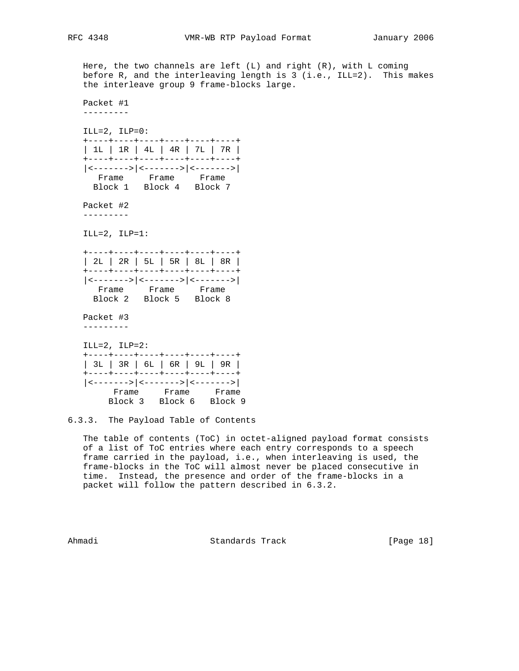Here, the two channels are left  $(L)$  and right  $(R)$ , with  $L$  coming before R, and the interleaving length is 3 (i.e., ILL=2). This makes the interleave group 9 frame-blocks large. Packet #1 --------- ILL= $2$ , ILP= $0$ : +----+----+----+----+----+----+ | 1L | 1R | 4L | 4R | 7L | 7R | +----+----+----+----+----+----+ |<------->|<------->|<------->| Frame Frame Frame Block 1 Block 4 Block 7 Packet #2 --------- ILL=2, ILP=1: +----+----+----+----+----+----+ | 2L | 2R | 5L | 5R | 8L | 8R | +----+----+----+----+----+----+ |<------->|<------->|<------->| Frame Frame Frame Block 2 Block 5 Block 8 Packet #3 ---------  $ILL=2$ ,  $ILP=2$ : +----+----+----+----+----+----+ | 3L | 3R | 6L | 6R | 9L | 9R | +----+----+----+----+----+----+ |<------->|<------->|<------->| Frame Frame Frame Block 3 Block 6 Block 9

6.3.3. The Payload Table of Contents

 The table of contents (ToC) in octet-aligned payload format consists of a list of ToC entries where each entry corresponds to a speech frame carried in the payload, i.e., when interleaving is used, the frame-blocks in the ToC will almost never be placed consecutive in time. Instead, the presence and order of the frame-blocks in a packet will follow the pattern described in 6.3.2.

Ahmadi Standards Track [Page 18]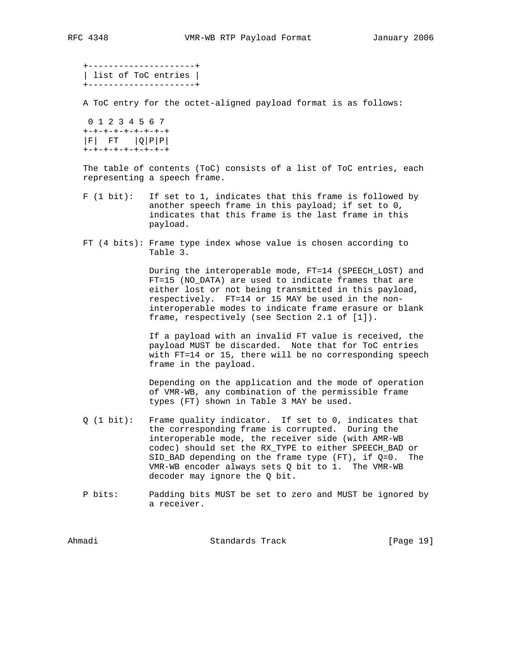+---------------------+ | list of ToC entries | +---------------------+

A ToC entry for the octet-aligned payload format is as follows:

 0 1 2 3 4 5 6 7 +-+-+-+-+-+-+-+-+  $|F|$  FT  $|Q|P|P|$ +-+-+-+-+-+-+-+-+

 The table of contents (ToC) consists of a list of ToC entries, each representing a speech frame.

- F (1 bit): If set to 1, indicates that this frame is followed by another speech frame in this payload; if set to 0, indicates that this frame is the last frame in this payload.
- FT (4 bits): Frame type index whose value is chosen according to Table 3.

 During the interoperable mode, FT=14 (SPEECH\_LOST) and FT=15 (NO\_DATA) are used to indicate frames that are either lost or not being transmitted in this payload, respectively. FT=14 or 15 MAY be used in the non interoperable modes to indicate frame erasure or blank frame, respectively (see Section 2.1 of [1]).

 If a payload with an invalid FT value is received, the payload MUST be discarded. Note that for ToC entries with FT=14 or 15, there will be no corresponding speech frame in the payload.

 Depending on the application and the mode of operation of VMR-WB, any combination of the permissible frame types (FT) shown in Table 3 MAY be used.

- Q (1 bit): Frame quality indicator. If set to 0, indicates that the corresponding frame is corrupted. During the interoperable mode, the receiver side (with AMR-WB codec) should set the RX\_TYPE to either SPEECH\_BAD or SID\_BAD depending on the frame type (FT), if Q=0. The VMR-WB encoder always sets Q bit to 1. The VMR-WB decoder may ignore the Q bit.
- P bits: Padding bits MUST be set to zero and MUST be ignored by a receiver.

Ahmadi Standards Track [Page 19]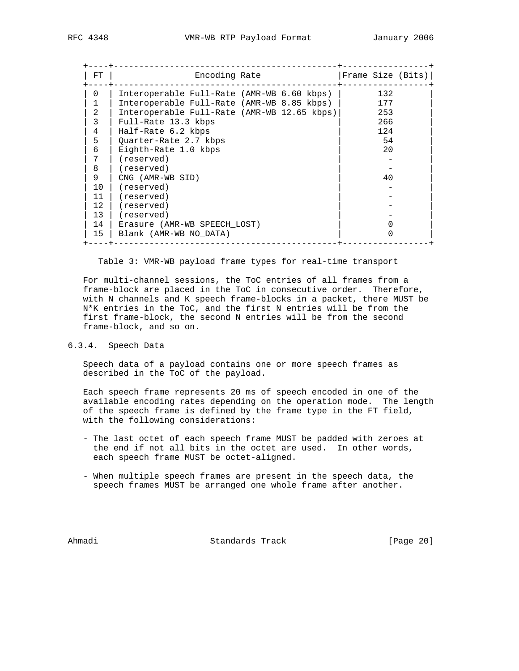| FT.          | Encoding Rate                               | Frame Size (Bits) |  |
|--------------|---------------------------------------------|-------------------|--|
| 0            | Interoperable Full-Rate (AMR-WB 6.60 kbps)  | 132               |  |
| 1            | Interoperable Full-Rate (AMR-WB 8.85 kbps)  | 177               |  |
| 2            | Interoperable Full-Rate (AMR-WB 12.65 kbps) | 253               |  |
| 3            | Full-Rate 13.3 kbps                         | 266               |  |
| 4            | Half-Rate 6.2 kbps                          | 124               |  |
| 5            | Quarter-Rate 2.7 kbps                       | 54                |  |
| 6            | Eighth-Rate 1.0 kbps                        | 20                |  |
| 7            | (reserved)                                  |                   |  |
| 8            | (reserved)                                  |                   |  |
| 9            | CNG (AMR-WB SID)                            | 40                |  |
| 10           | (reserved)                                  |                   |  |
| 11           | (reserved)                                  |                   |  |
| $12^{\circ}$ | (reserved)                                  |                   |  |
| 13           | (reserved)                                  |                   |  |
| 14           | Erasure (AMR-WB SPEECH LOST)                |                   |  |
| 15           | Blank (AMR-WB NO DATA)                      |                   |  |

Table 3: VMR-WB payload frame types for real-time transport

 For multi-channel sessions, the ToC entries of all frames from a frame-block are placed in the ToC in consecutive order. Therefore, with N channels and K speech frame-blocks in a packet, there MUST be N\*K entries in the ToC, and the first N entries will be from the first frame-block, the second N entries will be from the second frame-block, and so on.

### 6.3.4. Speech Data

 Speech data of a payload contains one or more speech frames as described in the ToC of the payload.

 Each speech frame represents 20 ms of speech encoded in one of the available encoding rates depending on the operation mode. The length of the speech frame is defined by the frame type in the FT field, with the following considerations:

- The last octet of each speech frame MUST be padded with zeroes at the end if not all bits in the octet are used. In other words, each speech frame MUST be octet-aligned.
- When multiple speech frames are present in the speech data, the speech frames MUST be arranged one whole frame after another.

Ahmadi Standards Track [Page 20]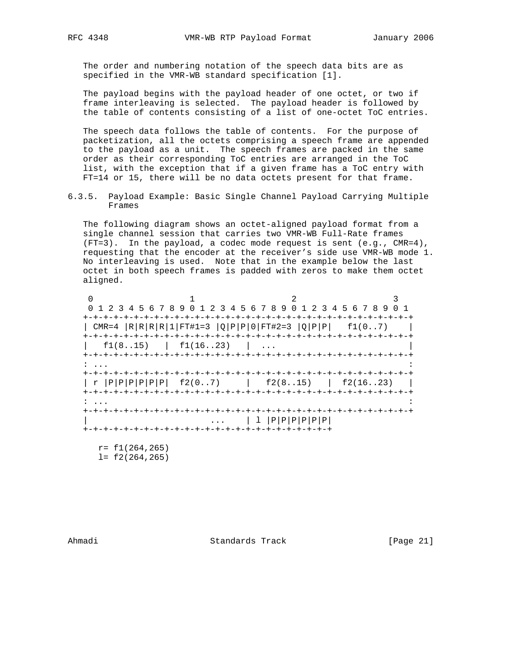The order and numbering notation of the speech data bits are as specified in the VMR-WB standard specification [1].

 The payload begins with the payload header of one octet, or two if frame interleaving is selected. The payload header is followed by the table of contents consisting of a list of one-octet ToC entries.

 The speech data follows the table of contents. For the purpose of packetization, all the octets comprising a speech frame are appended to the payload as a unit. The speech frames are packed in the same order as their corresponding ToC entries are arranged in the ToC list, with the exception that if a given frame has a ToC entry with FT=14 or 15, there will be no data octets present for that frame.

6.3.5. Payload Example: Basic Single Channel Payload Carrying Multiple Frames

 The following diagram shows an octet-aligned payload format from a single channel session that carries two VMR-WB Full-Rate frames (FT=3). In the payload, a codec mode request is sent (e.g., CMR=4), requesting that the encoder at the receiver's side use VMR-WB mode 1. No interleaving is used. Note that in the example below the last octet in both speech frames is padded with zeros to make them octet aligned.

0  $1$  2 3 0 1 2 3 4 5 6 7 8 9 0 1 2 3 4 5 6 7 8 9 0 1 2 3 4 5 6 7 8 9 0 1 +-+-+-+-+-+-+-+-+-+-+-+-+-+-+-+-+-+-+-+-+-+-+-+-+-+-+-+-+-+-+-+-+ | CMR=4 |R|R|R|R|1|FT#1=3 |Q|P|P|0|FT#2=3 |Q|P|P| f1(0..7) | +-+-+-+-+-+-+-+-+-+-+-+-+-+-+-+-+-+-+-+-+-+-+-+-+-+-+-+-+-+-+-+-+  $f1(8..15)$  |  $f1(16..23)$  | ... +-+-+-+-+-+-+-+-+-+-+-+-+-+-+-+-+-+-+-+-+-+-+-+-+-+-+-+-+-+-+-+-+ : ... : +-+-+-+-+-+-+-+-+-+-+-+-+-+-+-+-+-+-+-+-+-+-+-+-+-+-+-+-+-+-+-+-+ | r |P|P|P|P|P|P| f2(0..7) | f2(8..15) | f2(16..23) | +-+-+-+-+-+-+-+-+-+-+-+-+-+-+-+-+-+-+-+-+-+-+-+-+-+-+-+-+-+-+-+-+ : ... : +-+-+-+-+-+-+-+-+-+-+-+-+-+-+-+-+-+-+-+-+-+-+-+-+-+-+-+-+-+-+-+-+  $\ldots$  | 1 |P|P|P|P|P|P| +-+-+-+-+-+-+-+-+-+-+-+-+-+-+-+-+-+-+-+-+-+-+-+-+ r= f1(264,265)

l= f2(264,265)

Ahmadi Standards Track [Page 21]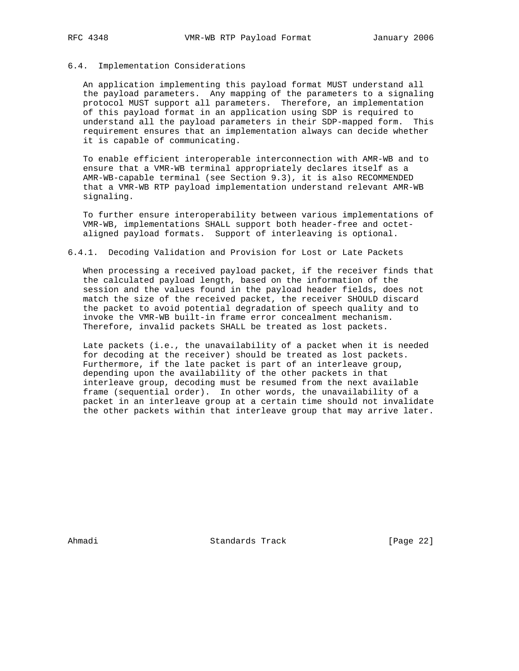# 6.4. Implementation Considerations

 An application implementing this payload format MUST understand all the payload parameters. Any mapping of the parameters to a signaling protocol MUST support all parameters. Therefore, an implementation of this payload format in an application using SDP is required to understand all the payload parameters in their SDP-mapped form. This requirement ensures that an implementation always can decide whether it is capable of communicating.

 To enable efficient interoperable interconnection with AMR-WB and to ensure that a VMR-WB terminal appropriately declares itself as a AMR-WB-capable terminal (see Section 9.3), it is also RECOMMENDED that a VMR-WB RTP payload implementation understand relevant AMR-WB signaling.

 To further ensure interoperability between various implementations of VMR-WB, implementations SHALL support both header-free and octet aligned payload formats. Support of interleaving is optional.

#### 6.4.1. Decoding Validation and Provision for Lost or Late Packets

 When processing a received payload packet, if the receiver finds that the calculated payload length, based on the information of the session and the values found in the payload header fields, does not match the size of the received packet, the receiver SHOULD discard the packet to avoid potential degradation of speech quality and to invoke the VMR-WB built-in frame error concealment mechanism. Therefore, invalid packets SHALL be treated as lost packets.

 Late packets (i.e., the unavailability of a packet when it is needed for decoding at the receiver) should be treated as lost packets. Furthermore, if the late packet is part of an interleave group, depending upon the availability of the other packets in that interleave group, decoding must be resumed from the next available frame (sequential order). In other words, the unavailability of a packet in an interleave group at a certain time should not invalidate the other packets within that interleave group that may arrive later.

Ahmadi Standards Track [Page 22]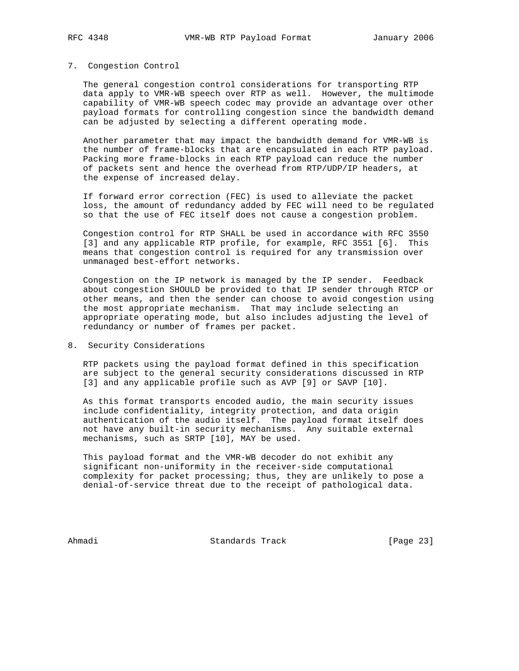#### 7. Congestion Control

 The general congestion control considerations for transporting RTP data apply to VMR-WB speech over RTP as well. However, the multimode capability of VMR-WB speech codec may provide an advantage over other payload formats for controlling congestion since the bandwidth demand can be adjusted by selecting a different operating mode.

 Another parameter that may impact the bandwidth demand for VMR-WB is the number of frame-blocks that are encapsulated in each RTP payload. Packing more frame-blocks in each RTP payload can reduce the number of packets sent and hence the overhead from RTP/UDP/IP headers, at the expense of increased delay.

 If forward error correction (FEC) is used to alleviate the packet loss, the amount of redundancy added by FEC will need to be regulated so that the use of FEC itself does not cause a congestion problem.

 Congestion control for RTP SHALL be used in accordance with RFC 3550 [3] and any applicable RTP profile, for example, RFC 3551 [6]. This means that congestion control is required for any transmission over unmanaged best-effort networks.

 Congestion on the IP network is managed by the IP sender. Feedback about congestion SHOULD be provided to that IP sender through RTCP or other means, and then the sender can choose to avoid congestion using the most appropriate mechanism. That may include selecting an appropriate operating mode, but also includes adjusting the level of redundancy or number of frames per packet.

### 8. Security Considerations

 RTP packets using the payload format defined in this specification are subject to the general security considerations discussed in RTP [3] and any applicable profile such as AVP [9] or SAVP [10].

 As this format transports encoded audio, the main security issues include confidentiality, integrity protection, and data origin authentication of the audio itself. The payload format itself does not have any built-in security mechanisms. Any suitable external mechanisms, such as SRTP [10], MAY be used.

 This payload format and the VMR-WB decoder do not exhibit any significant non-uniformity in the receiver-side computational complexity for packet processing; thus, they are unlikely to pose a denial-of-service threat due to the receipt of pathological data.

Ahmadi Standards Track [Page 23]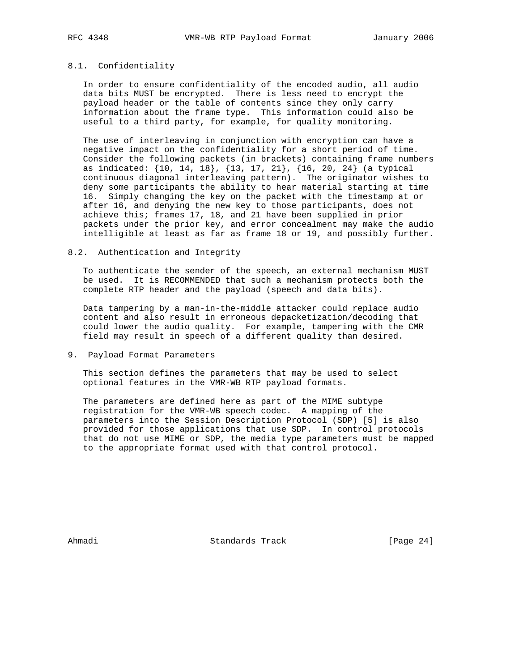# 8.1. Confidentiality

 In order to ensure confidentiality of the encoded audio, all audio data bits MUST be encrypted. There is less need to encrypt the payload header or the table of contents since they only carry information about the frame type. This information could also be useful to a third party, for example, for quality monitoring.

 The use of interleaving in conjunction with encryption can have a negative impact on the confidentiality for a short period of time. Consider the following packets (in brackets) containing frame numbers as indicated: {10, 14, 18}, {13, 17, 21}, {16, 20, 24} (a typical continuous diagonal interleaving pattern). The originator wishes to deny some participants the ability to hear material starting at time 16. Simply changing the key on the packet with the timestamp at or after 16, and denying the new key to those participants, does not achieve this; frames 17, 18, and 21 have been supplied in prior packets under the prior key, and error concealment may make the audio intelligible at least as far as frame 18 or 19, and possibly further.

#### 8.2. Authentication and Integrity

 To authenticate the sender of the speech, an external mechanism MUST be used. It is RECOMMENDED that such a mechanism protects both the complete RTP header and the payload (speech and data bits).

 Data tampering by a man-in-the-middle attacker could replace audio content and also result in erroneous depacketization/decoding that could lower the audio quality. For example, tampering with the CMR field may result in speech of a different quality than desired.

9. Payload Format Parameters

 This section defines the parameters that may be used to select optional features in the VMR-WB RTP payload formats.

 The parameters are defined here as part of the MIME subtype registration for the VMR-WB speech codec. A mapping of the parameters into the Session Description Protocol (SDP) [5] is also provided for those applications that use SDP. In control protocols that do not use MIME or SDP, the media type parameters must be mapped to the appropriate format used with that control protocol.

Ahmadi Standards Track [Page 24]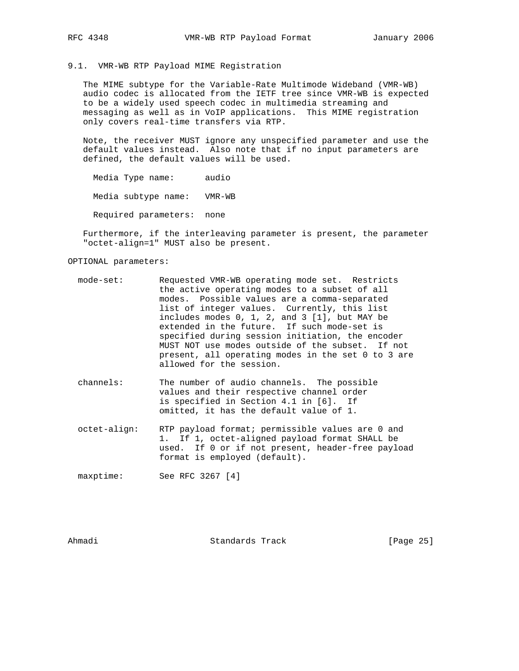# 9.1. VMR-WB RTP Payload MIME Registration

 The MIME subtype for the Variable-Rate Multimode Wideband (VMR-WB) audio codec is allocated from the IETF tree since VMR-WB is expected to be a widely used speech codec in multimedia streaming and messaging as well as in VoIP applications. This MIME registration only covers real-time transfers via RTP.

 Note, the receiver MUST ignore any unspecified parameter and use the default values instead. Also note that if no input parameters are defined, the default values will be used.

Media Type name: audio

Media subtype name: VMR-WB

Required parameters: none

 Furthermore, if the interleaving parameter is present, the parameter "octet-align=1" MUST also be present.

OPTIONAL parameters:

- mode-set: Requested VMR-WB operating mode set. Restricts the active operating modes to a subset of all modes. Possible values are a comma-separated list of integer values. Currently, this list includes modes 0, 1, 2, and 3 [1], but MAY be extended in the future. If such mode-set is specified during session initiation, the encoder MUST NOT use modes outside of the subset. If not present, all operating modes in the set 0 to 3 are allowed for the session.
	- channels: The number of audio channels. The possible values and their respective channel order is specified in Section 4.1 in [6]. If omitted, it has the default value of 1.
	- octet-align: RTP payload format; permissible values are 0 and 1. If 1, octet-aligned payload format SHALL be used. If 0 or if not present, header-free payload format is employed (default).

maxptime: See RFC 3267 [4]

Ahmadi Standards Track [Page 25]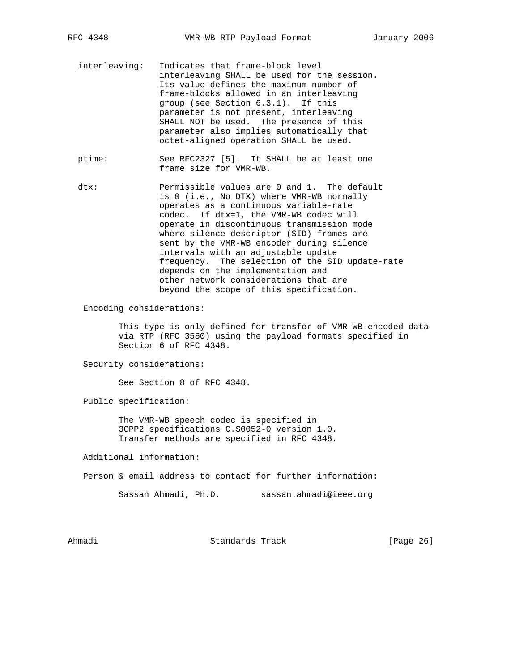- interleaving: Indicates that frame-block level interleaving SHALL be used for the session. Its value defines the maximum number of frame-blocks allowed in an interleaving group (see Section 6.3.1). If this parameter is not present, interleaving SHALL NOT be used. The presence of this parameter also implies automatically that octet-aligned operation SHALL be used.
- ptime: See RFC2327 [5]. It SHALL be at least one frame size for VMR-WB.

 dtx: Permissible values are 0 and 1. The default is 0 (i.e., No DTX) where VMR-WB normally operates as a continuous variable-rate codec. If dtx=1, the VMR-WB codec will operate in discontinuous transmission mode where silence descriptor (SID) frames are sent by the VMR-WB encoder during silence intervals with an adjustable update frequency. The selection of the SID update-rate depends on the implementation and other network considerations that are beyond the scope of this specification.

Encoding considerations:

 This type is only defined for transfer of VMR-WB-encoded data via RTP (RFC 3550) using the payload formats specified in Section 6 of RFC 4348.

Security considerations:

See Section 8 of RFC 4348.

Public specification:

 The VMR-WB speech codec is specified in 3GPP2 specifications C.S0052-0 version 1.0. Transfer methods are specified in RFC 4348.

Additional information:

Person & email address to contact for further information:

Sassan Ahmadi, Ph.D. sassan.ahmadi@ieee.org

Ahmadi Standards Track [Page 26]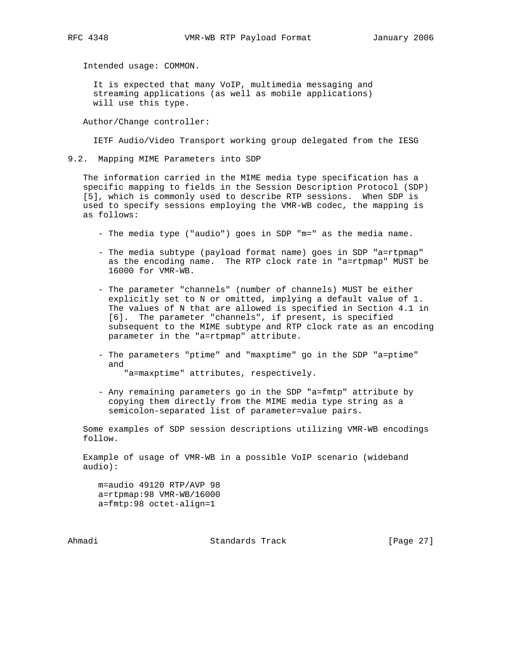Intended usage: COMMON.

 It is expected that many VoIP, multimedia messaging and streaming applications (as well as mobile applications) will use this type.

Author/Change controller:

IETF Audio/Video Transport working group delegated from the IESG

9.2. Mapping MIME Parameters into SDP

 The information carried in the MIME media type specification has a specific mapping to fields in the Session Description Protocol (SDP) [5], which is commonly used to describe RTP sessions. When SDP is used to specify sessions employing the VMR-WB codec, the mapping is as follows:

- The media type ("audio") goes in SDP "m=" as the media name.
- The media subtype (payload format name) goes in SDP "a=rtpmap" as the encoding name. The RTP clock rate in "a=rtpmap" MUST be 16000 for VMR-WB.
- The parameter "channels" (number of channels) MUST be either explicitly set to N or omitted, implying a default value of 1. The values of N that are allowed is specified in Section 4.1 in [6]. The parameter "channels", if present, is specified subsequent to the MIME subtype and RTP clock rate as an encoding parameter in the "a=rtpmap" attribute.
- The parameters "ptime" and "maxptime" go in the SDP "a=ptime" and "a=maxptime" attributes, respectively.
- Any remaining parameters go in the SDP "a=fmtp" attribute by copying them directly from the MIME media type string as a semicolon-separated list of parameter=value pairs.

 Some examples of SDP session descriptions utilizing VMR-WB encodings follow.

 Example of usage of VMR-WB in a possible VoIP scenario (wideband audio):

 m=audio 49120 RTP/AVP 98 a=rtpmap:98 VMR-WB/16000 a=fmtp:98 octet-align=1

Ahmadi Standards Track [Page 27]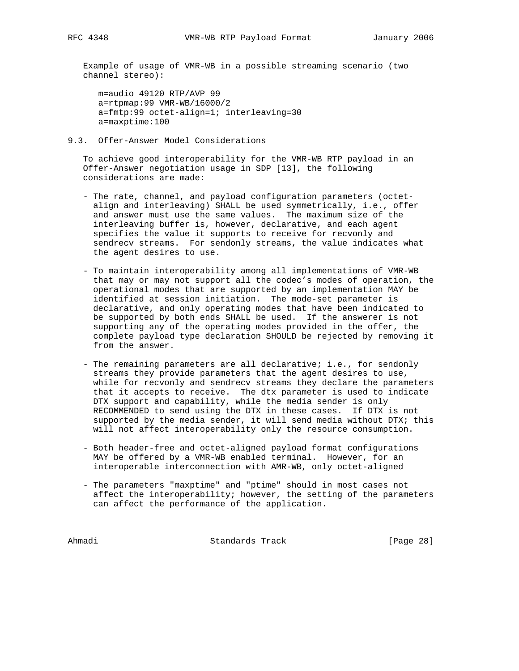Example of usage of VMR-WB in a possible streaming scenario (two channel stereo):

 m=audio 49120 RTP/AVP 99 a=rtpmap:99 VMR-WB/16000/2 a=fmtp:99 octet-align=1; interleaving=30 a=maxptime:100

9.3. Offer-Answer Model Considerations

 To achieve good interoperability for the VMR-WB RTP payload in an Offer-Answer negotiation usage in SDP [13], the following considerations are made:

- The rate, channel, and payload configuration parameters (octet align and interleaving) SHALL be used symmetrically, i.e., offer and answer must use the same values. The maximum size of the interleaving buffer is, however, declarative, and each agent specifies the value it supports to receive for recvonly and sendrecv streams. For sendonly streams, the value indicates what the agent desires to use.
- To maintain interoperability among all implementations of VMR-WB that may or may not support all the codec's modes of operation, the operational modes that are supported by an implementation MAY be identified at session initiation. The mode-set parameter is declarative, and only operating modes that have been indicated to be supported by both ends SHALL be used. If the answerer is not supporting any of the operating modes provided in the offer, the complete payload type declaration SHOULD be rejected by removing it from the answer.
- The remaining parameters are all declarative; i.e., for sendonly streams they provide parameters that the agent desires to use, while for recvonly and sendrecv streams they declare the parameters that it accepts to receive. The dtx parameter is used to indicate DTX support and capability, while the media sender is only RECOMMENDED to send using the DTX in these cases. If DTX is not supported by the media sender, it will send media without DTX; this will not affect interoperability only the resource consumption.
- Both header-free and octet-aligned payload format configurations MAY be offered by a VMR-WB enabled terminal. However, for an interoperable interconnection with AMR-WB, only octet-aligned
- The parameters "maxptime" and "ptime" should in most cases not affect the interoperability; however, the setting of the parameters can affect the performance of the application.

Ahmadi Standards Track [Page 28]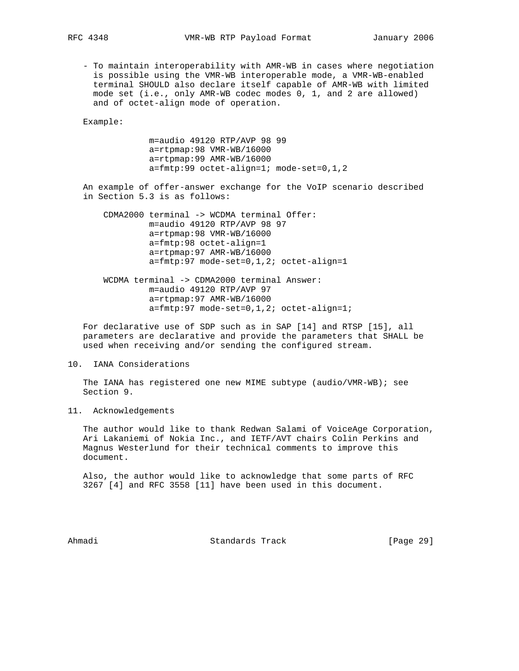- To maintain interoperability with AMR-WB in cases where negotiation is possible using the VMR-WB interoperable mode, a VMR-WB-enabled terminal SHOULD also declare itself capable of AMR-WB with limited mode set (i.e., only AMR-WB codec modes 0, 1, and 2 are allowed) and of octet-align mode of operation.

Example:

 m=audio 49120 RTP/AVP 98 99 a=rtpmap:98 VMR-WB/16000 a=rtpmap:99 AMR-WB/16000 a=fmtp:99 octet-align=1; mode-set=0,1,2

 An example of offer-answer exchange for the VoIP scenario described in Section 5.3 is as follows:

 CDMA2000 terminal -> WCDMA terminal Offer: m=audio 49120 RTP/AVP 98 97 a=rtpmap:98 VMR-WB/16000 a=fmtp:98 octet-align=1 a=rtpmap:97 AMR-WB/16000 a=fmtp:97 mode-set=0,1,2; octet-align=1

 WCDMA terminal -> CDMA2000 terminal Answer: m=audio 49120 RTP/AVP 97 a=rtpmap:97 AMR-WB/16000 a=fmtp:97 mode-set=0,1,2; octet-align=1;

 For declarative use of SDP such as in SAP [14] and RTSP [15], all parameters are declarative and provide the parameters that SHALL be used when receiving and/or sending the configured stream.

# 10. IANA Considerations

 The IANA has registered one new MIME subtype (audio/VMR-WB); see Section 9.

11. Acknowledgements

 The author would like to thank Redwan Salami of VoiceAge Corporation, Ari Lakaniemi of Nokia Inc., and IETF/AVT chairs Colin Perkins and Magnus Westerlund for their technical comments to improve this document.

 Also, the author would like to acknowledge that some parts of RFC 3267 [4] and RFC 3558 [11] have been used in this document.

Ahmadi Standards Track [Page 29]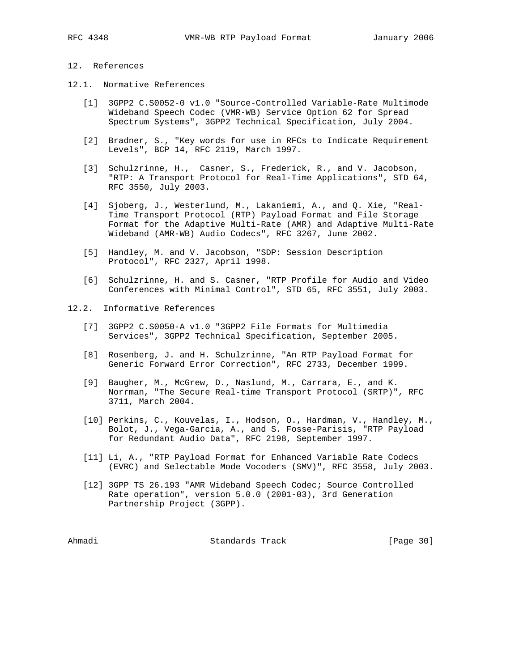# 12. References

- 12.1. Normative References
	- [1] 3GPP2 C.S0052-0 v1.0 "Source-Controlled Variable-Rate Multimode Wideband Speech Codec (VMR-WB) Service Option 62 for Spread Spectrum Systems", 3GPP2 Technical Specification, July 2004.
	- [2] Bradner, S., "Key words for use in RFCs to Indicate Requirement Levels", BCP 14, RFC 2119, March 1997.
	- [3] Schulzrinne, H., Casner, S., Frederick, R., and V. Jacobson, "RTP: A Transport Protocol for Real-Time Applications", STD 64, RFC 3550, July 2003.
	- [4] Sjoberg, J., Westerlund, M., Lakaniemi, A., and Q. Xie, "Real- Time Transport Protocol (RTP) Payload Format and File Storage Format for the Adaptive Multi-Rate (AMR) and Adaptive Multi-Rate Wideband (AMR-WB) Audio Codecs", RFC 3267, June 2002.
	- [5] Handley, M. and V. Jacobson, "SDP: Session Description Protocol", RFC 2327, April 1998.
	- [6] Schulzrinne, H. and S. Casner, "RTP Profile for Audio and Video Conferences with Minimal Control", STD 65, RFC 3551, July 2003.

# 12.2. Informative References

- [7] 3GPP2 C.S0050-A v1.0 "3GPP2 File Formats for Multimedia Services", 3GPP2 Technical Specification, September 2005.
- [8] Rosenberg, J. and H. Schulzrinne, "An RTP Payload Format for Generic Forward Error Correction", RFC 2733, December 1999.
- [9] Baugher, M., McGrew, D., Naslund, M., Carrara, E., and K. Norrman, "The Secure Real-time Transport Protocol (SRTP)", RFC 3711, March 2004.
- [10] Perkins, C., Kouvelas, I., Hodson, O., Hardman, V., Handley, M., Bolot, J., Vega-Garcia, A., and S. Fosse-Parisis, "RTP Payload for Redundant Audio Data", RFC 2198, September 1997.
- [11] Li, A., "RTP Payload Format for Enhanced Variable Rate Codecs (EVRC) and Selectable Mode Vocoders (SMV)", RFC 3558, July 2003.
- [12] 3GPP TS 26.193 "AMR Wideband Speech Codec; Source Controlled Rate operation", version 5.0.0 (2001-03), 3rd Generation Partnership Project (3GPP).

Ahmadi Standards Track [Page 30]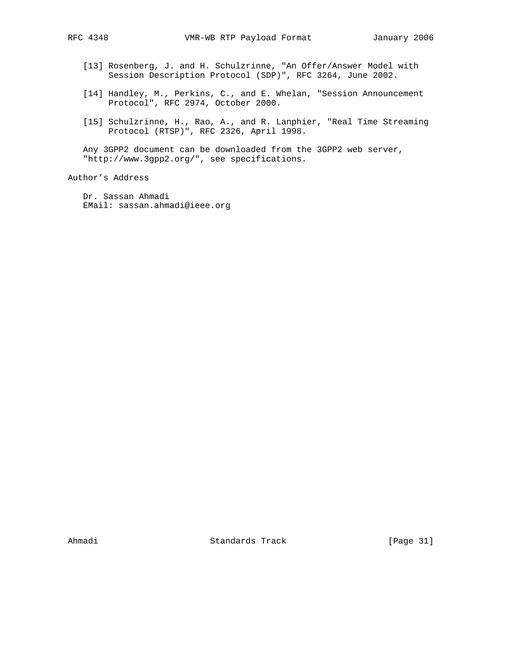- [13] Rosenberg, J. and H. Schulzrinne, "An Offer/Answer Model with Session Description Protocol (SDP)", RFC 3264, June 2002.
- [14] Handley, M., Perkins, C., and E. Whelan, "Session Announcement Protocol", RFC 2974, October 2000.
- [15] Schulzrinne, H., Rao, A., and R. Lanphier, "Real Time Streaming Protocol (RTSP)", RFC 2326, April 1998.

 Any 3GPP2 document can be downloaded from the 3GPP2 web server, "http://www.3gpp2.org/", see specifications.

Author's Address

 Dr. Sassan Ahmadi EMail: sassan.ahmadi@ieee.org

Ahmadi Standards Track [Page 31]